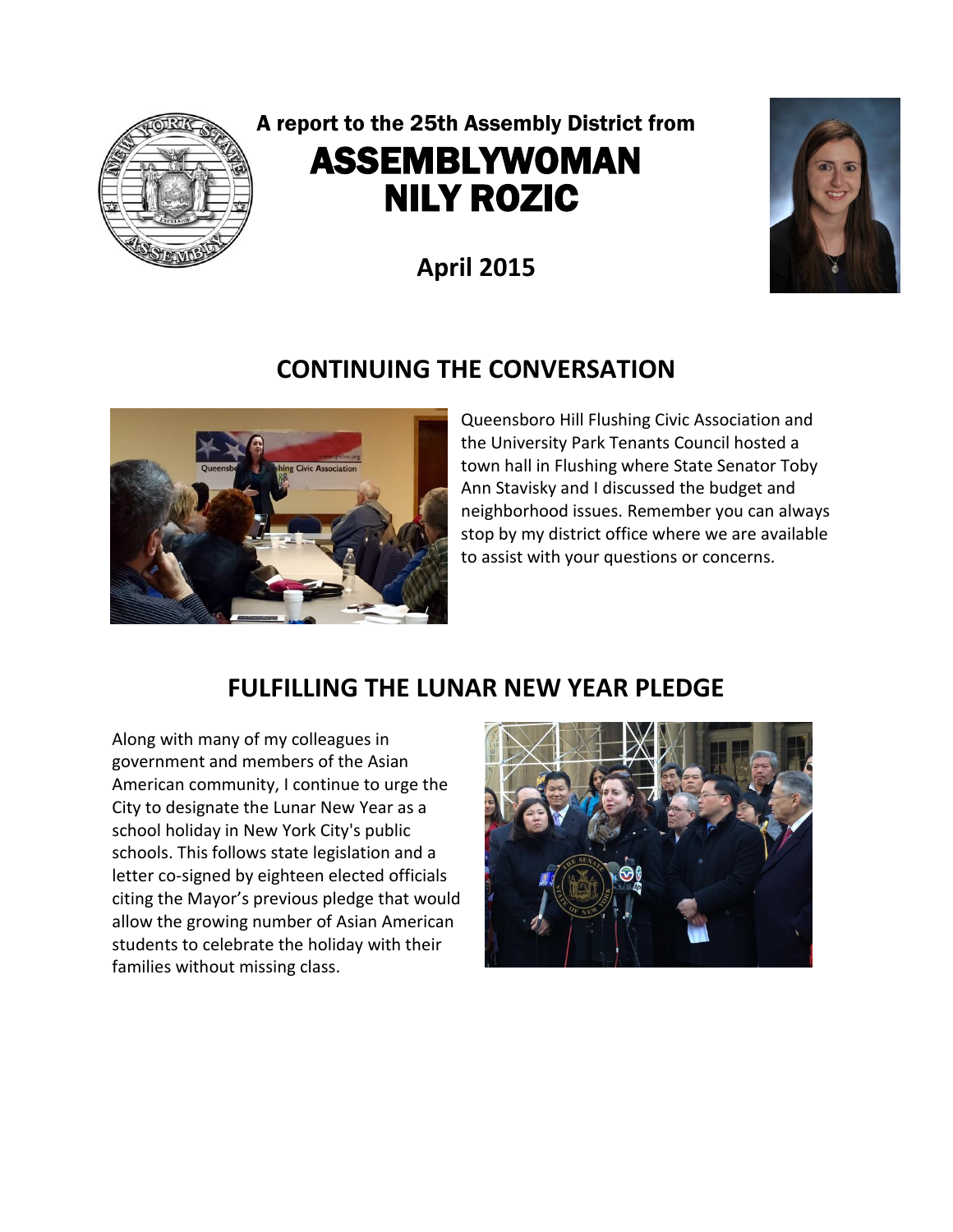

# A report to the 25th Assembly District from ASSEMBLYWOMAN NILY ROZIC

**April 2015**



## **CONTINUING THE CONVERSATION**



Queensboro Hill Flushing Civic Association and the University Park Tenants Council hosted a town hall in Flushing where State Senator Toby Ann Stavisky and I discussed the budget and neighborhood issues. Remember you can always stop by my district office where we are available to assist with your questions or concerns.

## **FULFILLING THE LUNAR NEW YEAR PLEDGE**

Along with many of my colleagues in government and members of the Asian American community, I continue to urge the City to designate the Lunar New Year as a school holiday in New York City's public schools. This follows state legislation and a letter co-signed by eighteen elected officials citing the Mayor's previous pledge that would allow the growing number of Asian American students to celebrate the holiday with their families without missing class.